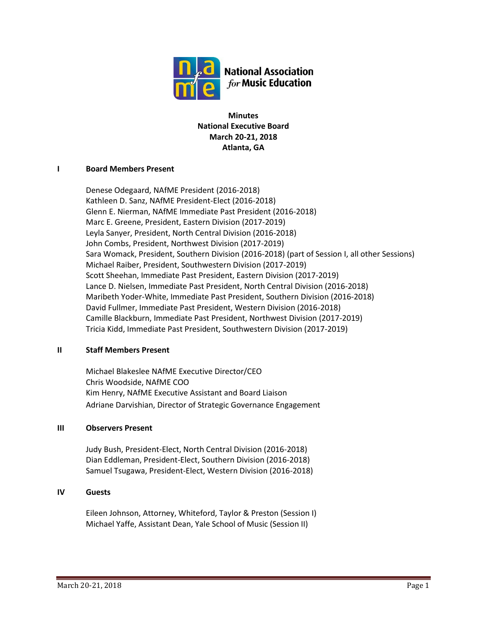

**Minutes National Executive Board March 20-21, 2018 Atlanta, GA**

## **I Board Members Present**

Denese Odegaard, NAfME President (2016-2018) Kathleen D. Sanz, NAfME President-Elect (2016-2018) Glenn E. Nierman, NAfME Immediate Past President (2016-2018) Marc E. Greene, President, Eastern Division (2017-2019) Leyla Sanyer, President, North Central Division (2016-2018) John Combs, President, Northwest Division (2017-2019) Sara Womack, President, Southern Division (2016-2018) (part of Session I, all other Sessions) Michael Raiber, President, Southwestern Division (2017-2019) Scott Sheehan, Immediate Past President, Eastern Division (2017-2019) Lance D. Nielsen, Immediate Past President, North Central Division (2016-2018) Maribeth Yoder-White, Immediate Past President, Southern Division (2016-2018) David Fullmer, Immediate Past President, Western Division (2016-2018) Camille Blackburn, Immediate Past President, Northwest Division (2017-2019) Tricia Kidd, Immediate Past President, Southwestern Division (2017-2019)

## **II Staff Members Present**

Michael Blakeslee NAfME Executive Director/CEO Chris Woodside, NAfME COO Kim Henry, NAfME Executive Assistant and Board Liaison Adriane Darvishian, Director of Strategic Governance Engagement

## **III Observers Present**

Judy Bush, President-Elect, North Central Division (2016-2018) Dian Eddleman, President-Elect, Southern Division (2016-2018) Samuel Tsugawa, President-Elect, Western Division (2016-2018)

## **IV Guests**

Eileen Johnson, Attorney, Whiteford, Taylor & Preston (Session I) Michael Yaffe, Assistant Dean, Yale School of Music (Session II)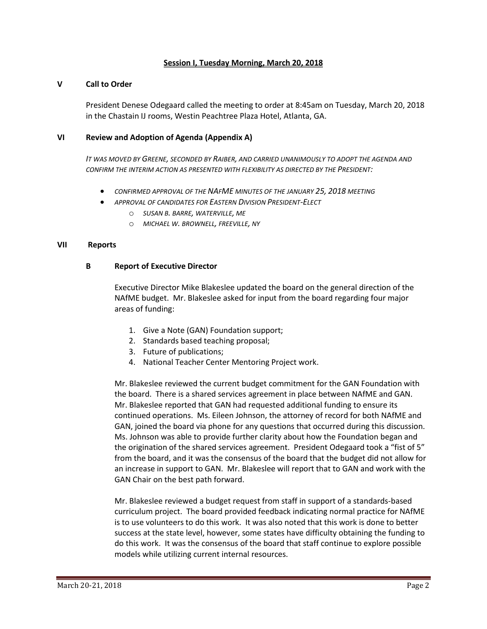## **Session I, Tuesday Morning, March 20, 2018**

#### **V Call to Order**

President Denese Odegaard called the meeting to order at 8:45am on Tuesday, March 20, 2018 in the Chastain IJ rooms, Westin Peachtree Plaza Hotel, Atlanta, GA.

#### **VI Review and Adoption of Agenda (Appendix A)**

*IT WAS MOVED BY GREENE, SECONDED BY RAIBER, AND CARRIED UNANIMOUSLY TO ADOPT THE AGENDA AND CONFIRM THE INTERIM ACTION AS PRESENTED WITH FLEXIBILITY AS DIRECTED BY THE PRESIDENT:*

- *CONFIRMED APPROVAL OF THE NAFME MINUTES OF THE JANUARY 25, 2018 MEETING*
- *APPROVAL OF CANDIDATES FOR EASTERN DIVISION PRESIDENT-ELECT*
	- o *SUSAN B. BARRE, WATERVILLE, ME*
	- o *MICHAEL W. BROWNELL, FREEVILLE, NY*

#### **VII Reports**

#### **B Report of Executive Director**

Executive Director Mike Blakeslee updated the board on the general direction of the NAfME budget. Mr. Blakeslee asked for input from the board regarding four major areas of funding:

- 1. Give a Note (GAN) Foundation support;
- 2. Standards based teaching proposal;
- 3. Future of publications;
- 4. National Teacher Center Mentoring Project work.

Mr. Blakeslee reviewed the current budget commitment for the GAN Foundation with the board. There is a shared services agreement in place between NAfME and GAN. Mr. Blakeslee reported that GAN had requested additional funding to ensure its continued operations. Ms. Eileen Johnson, the attorney of record for both NAfME and GAN, joined the board via phone for any questions that occurred during this discussion. Ms. Johnson was able to provide further clarity about how the Foundation began and the origination of the shared services agreement. President Odegaard took a "fist of 5" from the board, and it was the consensus of the board that the budget did not allow for an increase in support to GAN. Mr. Blakeslee will report that to GAN and work with the GAN Chair on the best path forward.

Mr. Blakeslee reviewed a budget request from staff in support of a standards-based curriculum project. The board provided feedback indicating normal practice for NAfME is to use volunteers to do this work. It was also noted that this work is done to better success at the state level, however, some states have difficulty obtaining the funding to do this work. It was the consensus of the board that staff continue to explore possible models while utilizing current internal resources.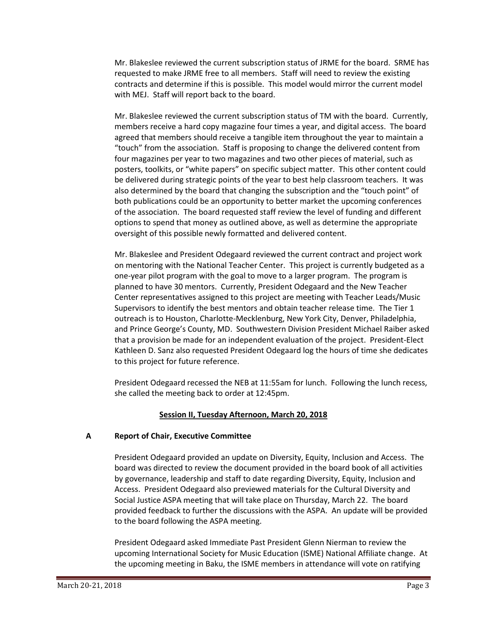Mr. Blakeslee reviewed the current subscription status of JRME for the board. SRME has requested to make JRME free to all members. Staff will need to review the existing contracts and determine if this is possible. This model would mirror the current model with MEJ. Staff will report back to the board.

Mr. Blakeslee reviewed the current subscription status of TM with the board. Currently, members receive a hard copy magazine four times a year, and digital access. The board agreed that members should receive a tangible item throughout the year to maintain a "touch" from the association. Staff is proposing to change the delivered content from four magazines per year to two magazines and two other pieces of material, such as posters, toolkits, or "white papers" on specific subject matter. This other content could be delivered during strategic points of the year to best help classroom teachers. It was also determined by the board that changing the subscription and the "touch point" of both publications could be an opportunity to better market the upcoming conferences of the association. The board requested staff review the level of funding and different options to spend that money as outlined above, as well as determine the appropriate oversight of this possible newly formatted and delivered content.

Mr. Blakeslee and President Odegaard reviewed the current contract and project work on mentoring with the National Teacher Center. This project is currently budgeted as a one-year pilot program with the goal to move to a larger program. The program is planned to have 30 mentors. Currently, President Odegaard and the New Teacher Center representatives assigned to this project are meeting with Teacher Leads/Music Supervisors to identify the best mentors and obtain teacher release time. The Tier 1 outreach is to Houston, Charlotte-Mecklenburg, New York City, Denver, Philadelphia, and Prince George's County, MD. Southwestern Division President Michael Raiber asked that a provision be made for an independent evaluation of the project. President-Elect Kathleen D. Sanz also requested President Odegaard log the hours of time she dedicates to this project for future reference.

President Odegaard recessed the NEB at 11:55am for lunch. Following the lunch recess, she called the meeting back to order at 12:45pm.

# **Session II, Tuesday Afternoon, March 20, 2018**

# **A Report of Chair, Executive Committee**

President Odegaard provided an update on Diversity, Equity, Inclusion and Access. The board was directed to review the document provided in the board book of all activities by governance, leadership and staff to date regarding Diversity, Equity, Inclusion and Access. President Odegaard also previewed materials for the Cultural Diversity and Social Justice ASPA meeting that will take place on Thursday, March 22. The board provided feedback to further the discussions with the ASPA. An update will be provided to the board following the ASPA meeting.

President Odegaard asked Immediate Past President Glenn Nierman to review the upcoming International Society for Music Education (ISME) National Affiliate change. At the upcoming meeting in Baku, the ISME members in attendance will vote on ratifying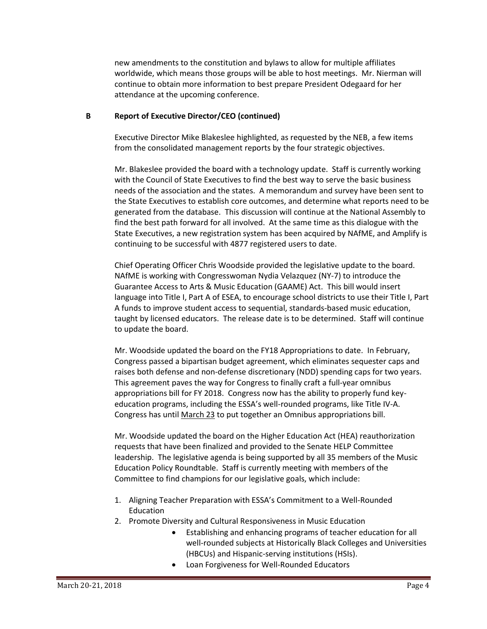new amendments to the constitution and bylaws to allow for multiple affiliates worldwide, which means those groups will be able to host meetings. Mr. Nierman will continue to obtain more information to best prepare President Odegaard for her attendance at the upcoming conference.

## **B Report of Executive Director/CEO (continued)**

Executive Director Mike Blakeslee highlighted, as requested by the NEB, a few items from the consolidated management reports by the four strategic objectives.

Mr. Blakeslee provided the board with a technology update. Staff is currently working with the Council of State Executives to find the best way to serve the basic business needs of the association and the states. A memorandum and survey have been sent to the State Executives to establish core outcomes, and determine what reports need to be generated from the database. This discussion will continue at the National Assembly to find the best path forward for all involved. At the same time as this dialogue with the State Executives, a new registration system has been acquired by NAfME, and Amplify is continuing to be successful with 4877 registered users to date.

Chief Operating Officer Chris Woodside provided the legislative update to the board. NAfME is working with Congresswoman Nydia Velazquez (NY-7) to introduce the Guarantee Access to Arts & Music Education (GAAME) Act. This bill would insert language into Title I, Part A of ESEA, to encourage school districts to use their Title I, Part A funds to improve student access to sequential, standards-based music education, taught by licensed educators. The release date is to be determined. Staff will continue to update the board.

Mr. Woodside updated the board on the FY18 Appropriations to date. In February, Congress passed a bipartisan budget agreement, which eliminates sequester caps and raises both defense and non-defense discretionary (NDD) spending caps for two years. This agreement paves the way for Congress to finally craft a full-year omnibus appropriations bill for FY 2018. Congress now has the ability to properly fund keyeducation programs, including the ESSA's well-rounded programs, like Title IV-A. Congress has until March 23 to put together an Omnibus appropriations bill.

Mr. Woodside updated the board on the Higher Education Act (HEA) reauthorization requests that have been finalized and provided to the Senate HELP Committee leadership. The legislative agenda is being supported by all 35 members of the Music Education Policy Roundtable. Staff is currently meeting with members of the Committee to find champions for our legislative goals, which include:

- 1. Aligning Teacher Preparation with ESSA's Commitment to a Well-Rounded Education
- 2. Promote Diversity and Cultural Responsiveness in Music Education
	- Establishing and enhancing programs of teacher education for all well-rounded subjects at Historically Black Colleges and Universities (HBCUs) and Hispanic-serving institutions (HSIs).
	- Loan Forgiveness for Well-Rounded Educators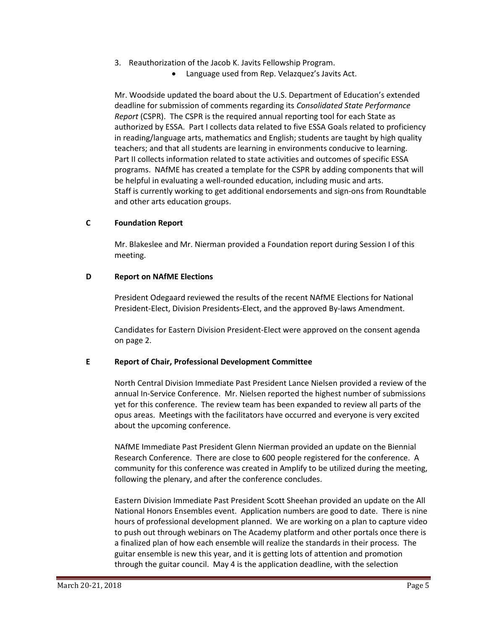- 3. Reauthorization of the Jacob K. Javits Fellowship Program.
	- Language used from Rep. Velazquez's Javits Act.

Mr. Woodside updated the board about the U.S. Department of Education's extended deadline for submission of comments regarding its *Consolidated State Performance Report* (CSPR). The CSPR is the required annual reporting tool for each State as authorized by ESSA. Part I collects data related to five ESSA Goals related to proficiency in reading/language arts, mathematics and English; students are taught by high quality teachers; and that all students are learning in environments conducive to learning. Part II collects information related to state activities and outcomes of specific ESSA programs. NAfME has created a template for the CSPR by adding components that will be helpful in evaluating a well-rounded education, including music and arts. Staff is currently working to get additional endorsements and sign-ons from Roundtable and other arts education groups.

# **C Foundation Report**

Mr. Blakeslee and Mr. Nierman provided a Foundation report during Session I of this meeting.

## **D Report on NAfME Elections**

President Odegaard reviewed the results of the recent NAfME Elections for National President-Elect, Division Presidents-Elect, and the approved By-laws Amendment.

Candidates for Eastern Division President-Elect were approved on the consent agenda on page 2.

# **E Report of Chair, Professional Development Committee**

North Central Division Immediate Past President Lance Nielsen provided a review of the annual In-Service Conference. Mr. Nielsen reported the highest number of submissions yet for this conference. The review team has been expanded to review all parts of the opus areas. Meetings with the facilitators have occurred and everyone is very excited about the upcoming conference.

NAfME Immediate Past President Glenn Nierman provided an update on the Biennial Research Conference. There are close to 600 people registered for the conference. A community for this conference was created in Amplify to be utilized during the meeting, following the plenary, and after the conference concludes.

Eastern Division Immediate Past President Scott Sheehan provided an update on the All National Honors Ensembles event. Application numbers are good to date. There is nine hours of professional development planned. We are working on a plan to capture video to push out through webinars on The Academy platform and other portals once there is a finalized plan of how each ensemble will realize the standards in their process. The guitar ensemble is new this year, and it is getting lots of attention and promotion through the guitar council. May 4 is the application deadline, with the selection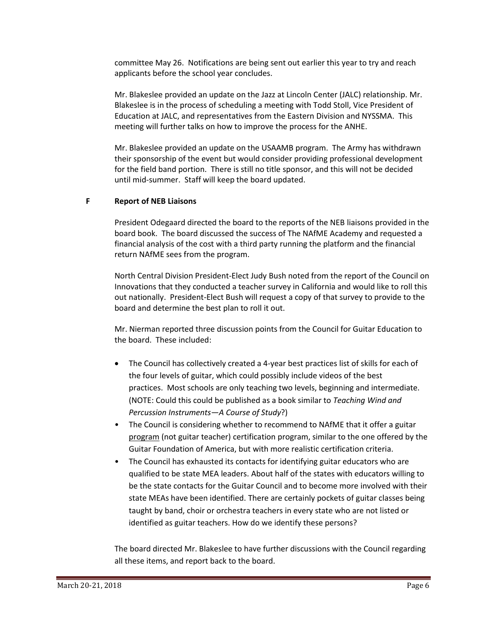committee May 26. Notifications are being sent out earlier this year to try and reach applicants before the school year concludes.

Mr. Blakeslee provided an update on the Jazz at Lincoln Center (JALC) relationship. Mr. Blakeslee is in the process of scheduling a meeting with Todd Stoll, Vice President of Education at JALC, and representatives from the Eastern Division and NYSSMA. This meeting will further talks on how to improve the process for the ANHE.

Mr. Blakeslee provided an update on the USAAMB program. The Army has withdrawn their sponsorship of the event but would consider providing professional development for the field band portion. There is still no title sponsor, and this will not be decided until mid-summer. Staff will keep the board updated.

# **F Report of NEB Liaisons**

President Odegaard directed the board to the reports of the NEB liaisons provided in the board book. The board discussed the success of The NAfME Academy and requested a financial analysis of the cost with a third party running the platform and the financial return NAfME sees from the program.

North Central Division President-Elect Judy Bush noted from the report of the Council on Innovations that they conducted a teacher survey in California and would like to roll this out nationally. President-Elect Bush will request a copy of that survey to provide to the board and determine the best plan to roll it out.

Mr. Nierman reported three discussion points from the Council for Guitar Education to the board. These included:

- The Council has collectively created a 4-year best practices list of skills for each of the four levels of guitar, which could possibly include videos of the best practices. Most schools are only teaching two levels, beginning and intermediate. (NOTE: Could this could be published as a book similar to *Teaching Wind and Percussion Instruments—A Course of Study*?)
- The Council is considering whether to recommend to NAfME that it offer a guitar program (not guitar teacher) certification program, similar to the one offered by the Guitar Foundation of America, but with more realistic certification criteria.
- The Council has exhausted its contacts for identifying guitar educators who are qualified to be state MEA leaders. About half of the states with educators willing to be the state contacts for the Guitar Council and to become more involved with their state MEAs have been identified. There are certainly pockets of guitar classes being taught by band, choir or orchestra teachers in every state who are not listed or identified as guitar teachers. How do we identify these persons?

The board directed Mr. Blakeslee to have further discussions with the Council regarding all these items, and report back to the board.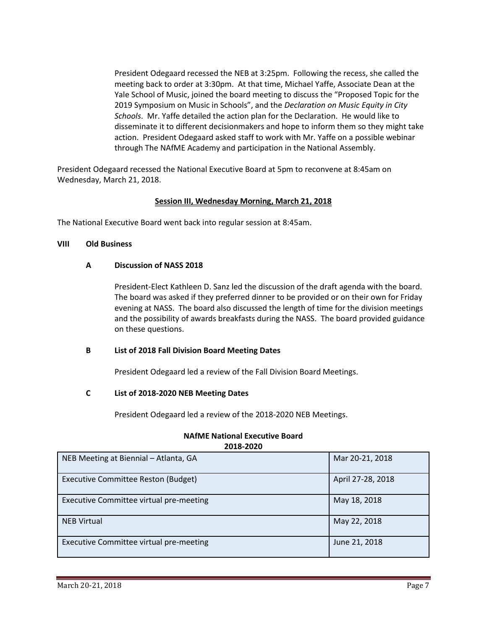President Odegaard recessed the NEB at 3:25pm. Following the recess, she called the meeting back to order at 3:30pm. At that time, Michael Yaffe, Associate Dean at the Yale School of Music, joined the board meeting to discuss the "Proposed Topic for the 2019 Symposium on Music in Schools", and the *Declaration on Music Equity in City Schools*. Mr. Yaffe detailed the action plan for the Declaration. He would like to disseminate it to different decisionmakers and hope to inform them so they might take action. President Odegaard asked staff to work with Mr. Yaffe on a possible webinar through The NAfME Academy and participation in the National Assembly.

President Odegaard recessed the National Executive Board at 5pm to reconvene at 8:45am on Wednesday, March 21, 2018.

# **Session III, Wednesday Morning, March 21, 2018**

The National Executive Board went back into regular session at 8:45am.

#### **VIII Old Business**

#### **A Discussion of NASS 2018**

President-Elect Kathleen D. Sanz led the discussion of the draft agenda with the board. The board was asked if they preferred dinner to be provided or on their own for Friday evening at NASS. The board also discussed the length of time for the division meetings and the possibility of awards breakfasts during the NASS. The board provided guidance on these questions.

## **B List of 2018 Fall Division Board Meeting Dates**

President Odegaard led a review of the Fall Division Board Meetings.

## **C List of 2018-2020 NEB Meeting Dates**

President Odegaard led a review of the 2018-2020 NEB Meetings.

| 2018-2020                               |                   |  |  |
|-----------------------------------------|-------------------|--|--|
| NEB Meeting at Biennial - Atlanta, GA   | Mar 20-21, 2018   |  |  |
| Executive Committee Reston (Budget)     | April 27-28, 2018 |  |  |
| Executive Committee virtual pre-meeting | May 18, 2018      |  |  |
| <b>NEB Virtual</b>                      | May 22, 2018      |  |  |
| Executive Committee virtual pre-meeting | June 21, 2018     |  |  |

# **NAfME National Executive Board 2018-2020**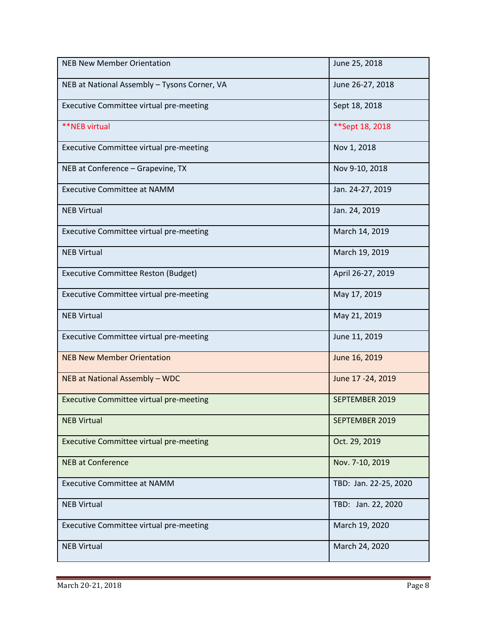| <b>NEB New Member Orientation</b>              | June 25, 2018         |
|------------------------------------------------|-----------------------|
| NEB at National Assembly - Tysons Corner, VA   | June 26-27, 2018      |
| Executive Committee virtual pre-meeting        | Sept 18, 2018         |
| **NEB virtual                                  | ** Sept 18, 2018      |
| Executive Committee virtual pre-meeting        | Nov 1, 2018           |
| NEB at Conference – Grapevine, TX              | Nov 9-10, 2018        |
| <b>Executive Committee at NAMM</b>             | Jan. 24-27, 2019      |
| <b>NEB Virtual</b>                             | Jan. 24, 2019         |
| Executive Committee virtual pre-meeting        | March 14, 2019        |
| <b>NEB Virtual</b>                             | March 19, 2019        |
| <b>Executive Committee Reston (Budget)</b>     | April 26-27, 2019     |
| Executive Committee virtual pre-meeting        | May 17, 2019          |
| <b>NEB Virtual</b>                             | May 21, 2019          |
| Executive Committee virtual pre-meeting        | June 11, 2019         |
| <b>NEB New Member Orientation</b>              | June 16, 2019         |
| NEB at National Assembly - WDC                 | June 17 - 24, 2019    |
| <b>Executive Committee virtual pre-meeting</b> | SEPTEMBER 2019        |
| <b>NEB Virtual</b>                             | SEPTEMBER 2019        |
| <b>Executive Committee virtual pre-meeting</b> | Oct. 29, 2019         |
| <b>NEB at Conference</b>                       | Nov. 7-10, 2019       |
| <b>Executive Committee at NAMM</b>             | TBD: Jan. 22-25, 2020 |
| <b>NEB Virtual</b>                             | TBD: Jan. 22, 2020    |
| Executive Committee virtual pre-meeting        | March 19, 2020        |
| <b>NEB Virtual</b>                             | March 24, 2020        |

÷.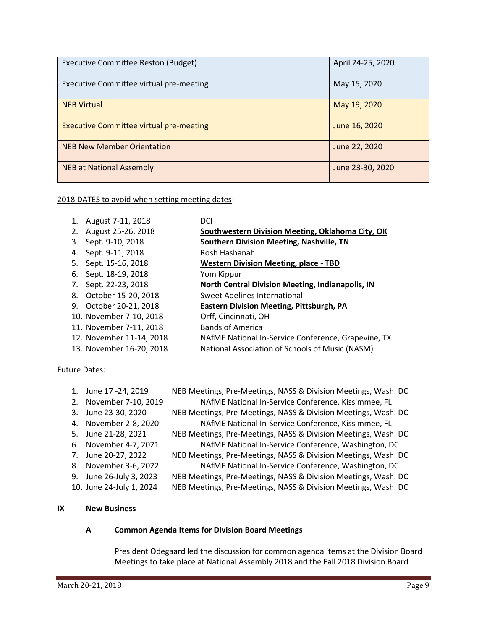| <b>Executive Committee Reston (Budget)</b>     | April 24-25, 2020 |
|------------------------------------------------|-------------------|
| Executive Committee virtual pre-meeting        | May 15, 2020      |
| <b>NEB Virtual</b>                             | May 19, 2020      |
| <b>Executive Committee virtual pre-meeting</b> | June 16, 2020     |
| <b>NEB New Member Orientation</b>              | June 22, 2020     |
| <b>NEB at National Assembly</b>                | June 23-30, 2020  |

2018 DATES to avoid when setting meeting dates:

| 1. | August 7-11, 2018        | DCI                                                 |
|----|--------------------------|-----------------------------------------------------|
| 2. | August 25-26, 2018       | Southwestern Division Meeting, Oklahoma City, OK    |
| 3. | Sept. 9-10, 2018         | <b>Southern Division Meeting, Nashville, TN</b>     |
| 4. | Sept. 9-11, 2018         | Rosh Hashanah                                       |
| 5. | Sept. 15-16, 2018        | <b>Western Division Meeting, place - TBD</b>        |
| 6. | Sept. 18-19, 2018        | Yom Kippur                                          |
| 7. | Sept. 22-23, 2018        | North Central Division Meeting, Indianapolis, IN    |
| 8. | October 15-20, 2018      | Sweet Adelines International                        |
| 9. | October 20-21, 2018      | <b>Eastern Division Meeting, Pittsburgh, PA</b>     |
|    | 10. November 7-10, 2018  | Orff, Cincinnati, OH                                |
|    | 11. November 7-11, 2018  | <b>Bands of America</b>                             |
|    | 12. November 11-14, 2018 | NAfME National In-Service Conference, Grapevine, TX |
|    | 13. November 16-20, 2018 | National Association of Schools of Music (NASM)     |

Future Dates:

| <b>New Business</b>      |                                                                |
|--------------------------|----------------------------------------------------------------|
|                          |                                                                |
| 10. June 24-July 1, 2024 | NEB Meetings, Pre-Meetings, NASS & Division Meetings, Wash. DC |
| 9. June 26-July 3, 2023  | NEB Meetings, Pre-Meetings, NASS & Division Meetings, Wash. DC |
| 8. November 3-6, 2022    | NAfME National In-Service Conference, Washington, DC           |
| 7. June 20-27, 2022      | NEB Meetings, Pre-Meetings, NASS & Division Meetings, Wash. DC |
| 6. November 4-7, 2021    | NAfME National In-Service Conference, Washington, DC           |
| 5. June 21-28, 2021      | NEB Meetings, Pre-Meetings, NASS & Division Meetings, Wash. DC |
| 4. November 2-8, 2020    | NAfME National In-Service Conference, Kissimmee, FL            |
| 3. June 23-30, 2020      | NEB Meetings, Pre-Meetings, NASS & Division Meetings, Wash. DC |
| 2. November 7-10, 2019   | NAfME National In-Service Conference, Kissimmee, FL            |
| 1. June 17 - 24, 2019    | NEB Meetings, Pre-Meetings, NASS & Division Meetings, Wash. DC |

# **IX New Business**

# **A Common Agenda Items for Division Board Meetings**

President Odegaard led the discussion for common agenda items at the Division Board Meetings to take place at National Assembly 2018 and the Fall 2018 Division Board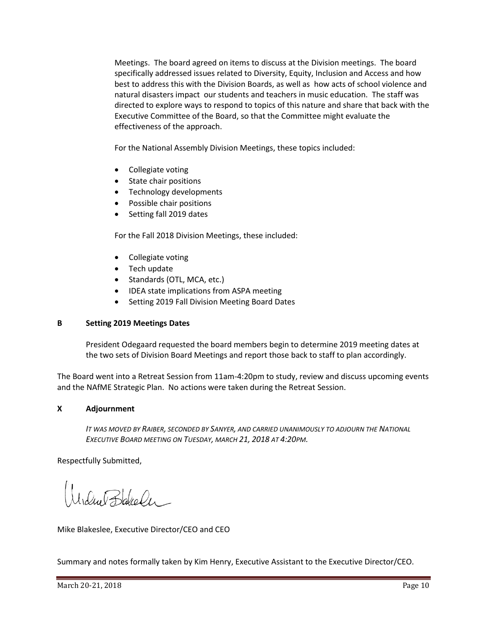Meetings. The board agreed on items to discuss at the Division meetings. The board specifically addressed issues related to Diversity, Equity, Inclusion and Access and how best to address this with the Division Boards, as well as how acts of school violence and natural disasters impact our students and teachers in music education. The staff was directed to explore ways to respond to topics of this nature and share that back with the Executive Committee of the Board, so that the Committee might evaluate the effectiveness of the approach.

For the National Assembly Division Meetings, these topics included:

- Collegiate voting
- State chair positions
- Technology developments
- Possible chair positions
- Setting fall 2019 dates

For the Fall 2018 Division Meetings, these included:

- Collegiate voting
- Tech update
- Standards (OTL, MCA, etc.)
- IDEA state implications from ASPA meeting
- Setting 2019 Fall Division Meeting Board Dates

# **B Setting 2019 Meetings Dates**

President Odegaard requested the board members begin to determine 2019 meeting dates at the two sets of Division Board Meetings and report those back to staff to plan accordingly.

The Board went into a Retreat Session from 11am-4:20pm to study, review and discuss upcoming events and the NAfME Strategic Plan. No actions were taken during the Retreat Session.

## **X Adjournment**

*IT WAS MOVED BY RAIBER, SECONDED BY SANYER, AND CARRIED UNANIMOUSLY TO ADJOURN THE NATIONAL EXECUTIVE BOARD MEETING ON TUESDAY, MARCH 21, 2018 AT 4:20PM.*

Respectfully Submitted,

Modul Barales

Mike Blakeslee, Executive Director/CEO and CEO

Summary and notes formally taken by Kim Henry, Executive Assistant to the Executive Director/CEO.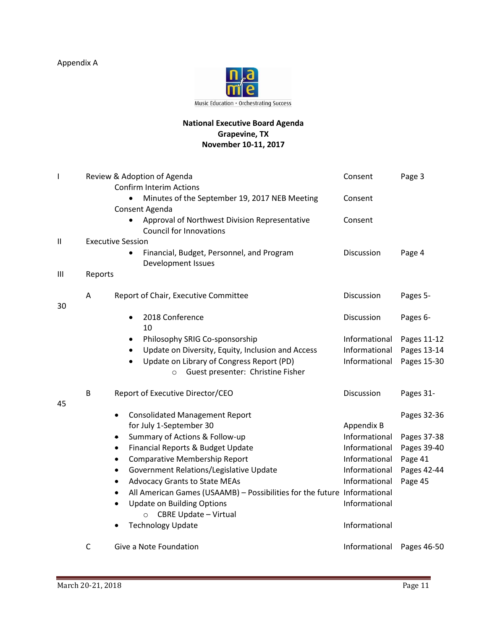Appendix A



# **National Executive Board Agenda Grapevine, TX November 10-11, 2017**

| I             |                                       | Review & Adoption of Agenda<br><b>Confirm Interim Actions</b>                                                                                                                                                           | Consent                                         | Page 3                                    |
|---------------|---------------------------------------|-------------------------------------------------------------------------------------------------------------------------------------------------------------------------------------------------------------------------|-------------------------------------------------|-------------------------------------------|
|               |                                       | Minutes of the September 19, 2017 NEB Meeting<br>Consent Agenda                                                                                                                                                         | Consent                                         |                                           |
|               |                                       | Approval of Northwest Division Representative<br>$\bullet$<br><b>Council for Innovations</b>                                                                                                                            | Consent                                         |                                           |
| $\mathbf{II}$ | <b>Executive Session</b>              |                                                                                                                                                                                                                         |                                                 |                                           |
|               |                                       | Financial, Budget, Personnel, and Program<br>$\bullet$<br>Development Issues                                                                                                                                            | Discussion                                      | Page 4                                    |
| Ш             | Reports                               |                                                                                                                                                                                                                         |                                                 |                                           |
|               | A                                     | Report of Chair, Executive Committee                                                                                                                                                                                    | Discussion                                      | Pages 5-                                  |
| 30            |                                       | 2018 Conference<br>$\bullet$<br>10                                                                                                                                                                                      | Discussion                                      | Pages 6-                                  |
|               |                                       | Philosophy SRIG Co-sponsorship<br>$\bullet$<br>Update on Diversity, Equity, Inclusion and Access<br>$\bullet$<br>Update on Library of Congress Report (PD)<br>$\bullet$<br>Guest presenter: Christine Fisher<br>$\circ$ | Informational<br>Informational<br>Informational | Pages 11-12<br>Pages 13-14<br>Pages 15-30 |
| 45            | B<br>Report of Executive Director/CEO |                                                                                                                                                                                                                         | Discussion                                      | Pages 31-                                 |
|               |                                       | <b>Consolidated Management Report</b><br>$\bullet$<br>for July 1-September 30                                                                                                                                           | Appendix B                                      | Pages 32-36                               |
|               |                                       | Summary of Actions & Follow-up<br>٠                                                                                                                                                                                     | Informational                                   | Pages 37-38                               |
|               |                                       | Financial Reports & Budget Update<br>$\bullet$                                                                                                                                                                          | Informational                                   | Pages 39-40                               |
|               |                                       | <b>Comparative Membership Report</b><br>$\bullet$                                                                                                                                                                       | Informational                                   | Page 41                                   |
|               |                                       | Government Relations/Legislative Update<br>$\bullet$                                                                                                                                                                    | Informational                                   | Pages 42-44                               |
|               |                                       | <b>Advocacy Grants to State MEAs</b><br>$\bullet$                                                                                                                                                                       | Informational                                   | Page 45                                   |
|               |                                       | All American Games (USAAMB) - Possibilities for the future Informational<br>٠                                                                                                                                           |                                                 |                                           |
|               |                                       | <b>Update on Building Options</b><br>$\bullet$<br><b>CBRE Update - Virtual</b><br>$\circ$                                                                                                                               | Informational                                   |                                           |
|               |                                       | <b>Technology Update</b>                                                                                                                                                                                                | Informational                                   |                                           |
|               | C                                     | Give a Note Foundation                                                                                                                                                                                                  | Informational                                   | Pages 46-50                               |